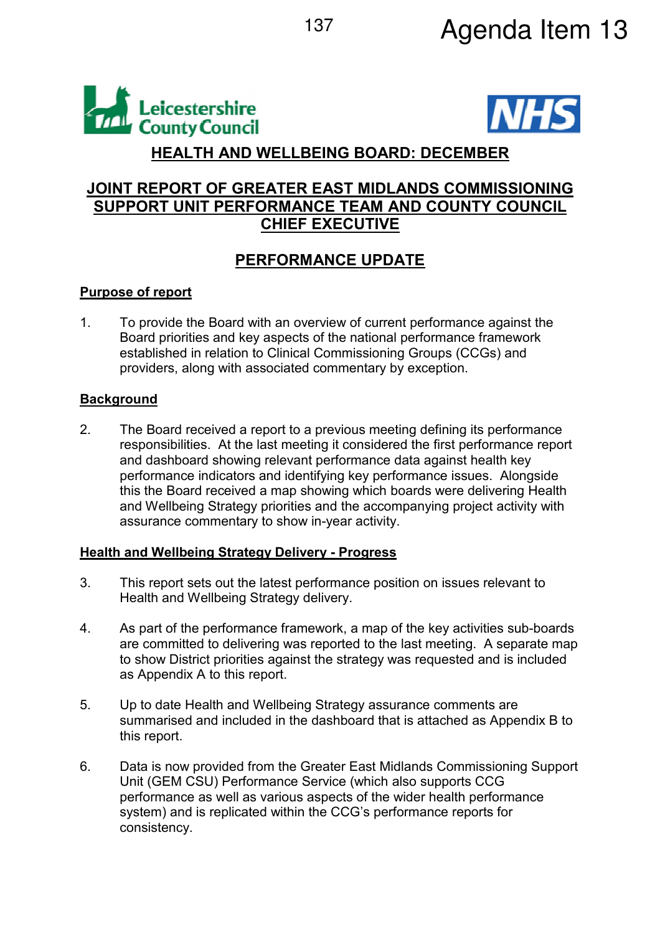



# **HEALTH AND WELLBEING BOARD: DECEMBER**

# **JOINT REPORT OF GREATER EAST MIDLANDS COMMISSIONING SUPPORT UNIT PERFORMANCE TEAM AND COUNTY COUNCIL CHIEF EXECUTIVE**

# **PERFORMANCE UPDATE**

# **Purpose of report**

1. To provide the Board with an overview of current performance against the Board priorities and key aspects of the national performance framework established in relation to Clinical Commissioning Groups (CCGs) and providers, along with associated commentary by exception.

# **Background**

2. The Board received a report to a previous meeting defining its performance responsibilities. At the last meeting it considered the first performance report and dashboard showing relevant performance data against health key performance indicators and identifying key performance issues. Alongside this the Board received a map showing which boards were delivering Health and Wellbeing Strategy priorities and the accompanying project activity with assurance commentary to show in-year activity.

## **Health and Wellbeing Strategy Delivery - Progress**

- 3. This report sets out the latest performance position on issues relevant to Health and Wellbeing Strategy delivery.
- 4. As part of the performance framework, a map of the key activities sub-boards are committed to delivering was reported to the last meeting. A separate map to show District priorities against the strategy was requested and is included as Appendix A to this report.
- 5. Up to date Health and Wellbeing Strategy assurance comments are summarised and included in the dashboard that is attached as Appendix B to this report.
- 6. Data is now provided from the Greater East Midlands Commissioning Support Unit (GEM CSU) Performance Service (which also supports CCG performance as well as various aspects of the wider health performance system) and is replicated within the CCG's performance reports for consistency.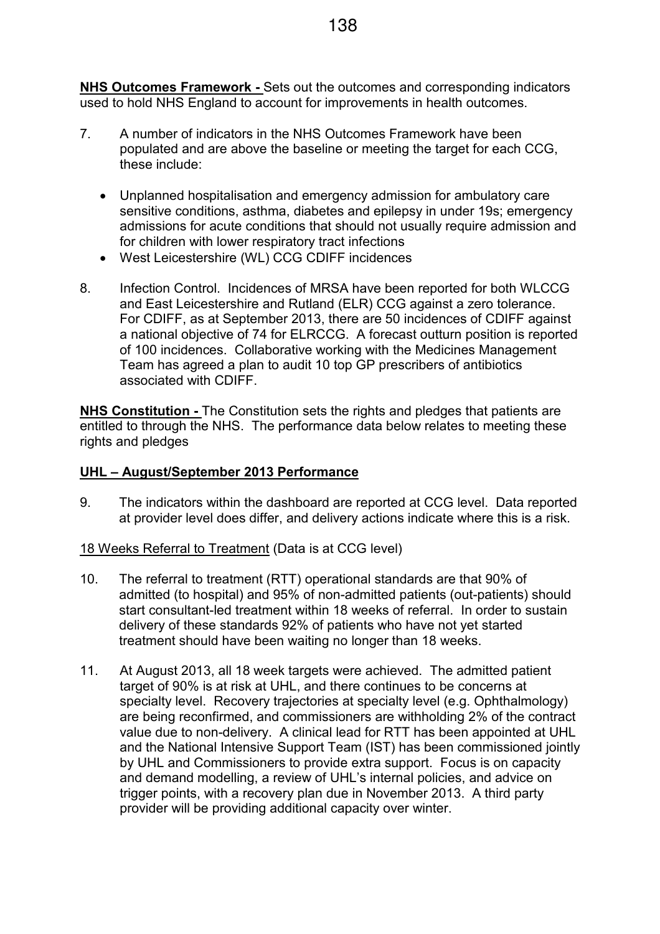**NHS Outcomes Framework -** Sets out the outcomes and corresponding indicators used to hold NHS England to account for improvements in health outcomes.

- 7. A number of indicators in the NHS Outcomes Framework have been populated and are above the baseline or meeting the target for each CCG, these include:
	- Unplanned hospitalisation and emergency admission for ambulatory care sensitive conditions, asthma, diabetes and epilepsy in under 19s; emergency admissions for acute conditions that should not usually require admission and for children with lower respiratory tract infections
	- West Leicestershire (WL) CCG CDIFF incidences
- 8. Infection Control. Incidences of MRSA have been reported for both WLCCG and East Leicestershire and Rutland (ELR) CCG against a zero tolerance. For CDIFF, as at September 2013, there are 50 incidences of CDIFF against a national objective of 74 for ELRCCG. A forecast outturn position is reported of 100 incidences. Collaborative working with the Medicines Management Team has agreed a plan to audit 10 top GP prescribers of antibiotics associated with CDIFF.

**NHS Constitution -** The Constitution sets the rights and pledges that patients are entitled to through the NHS. The performance data below relates to meeting these rights and pledges

### **UHL – August/September 2013 Performance**

9. The indicators within the dashboard are reported at CCG level. Data reported at provider level does differ, and delivery actions indicate where this is a risk.

18 Weeks Referral to Treatment (Data is at CCG level)

- 10. The referral to treatment (RTT) operational standards are that 90% of admitted (to hospital) and 95% of non-admitted patients (out-patients) should start consultant-led treatment within 18 weeks of referral. In order to sustain delivery of these standards 92% of patients who have not yet started treatment should have been waiting no longer than 18 weeks.
- 11. At August 2013, all 18 week targets were achieved. The admitted patient target of 90% is at risk at UHL, and there continues to be concerns at specialty level. Recovery trajectories at specialty level (e.g. Ophthalmology) are being reconfirmed, and commissioners are withholding 2% of the contract value due to non-delivery. A clinical lead for RTT has been appointed at UHL and the National Intensive Support Team (IST) has been commissioned jointly by UHL and Commissioners to provide extra support. Focus is on capacity and demand modelling, a review of UHL's internal policies, and advice on trigger points, with a recovery plan due in November 2013. A third party provider will be providing additional capacity over winter. Ī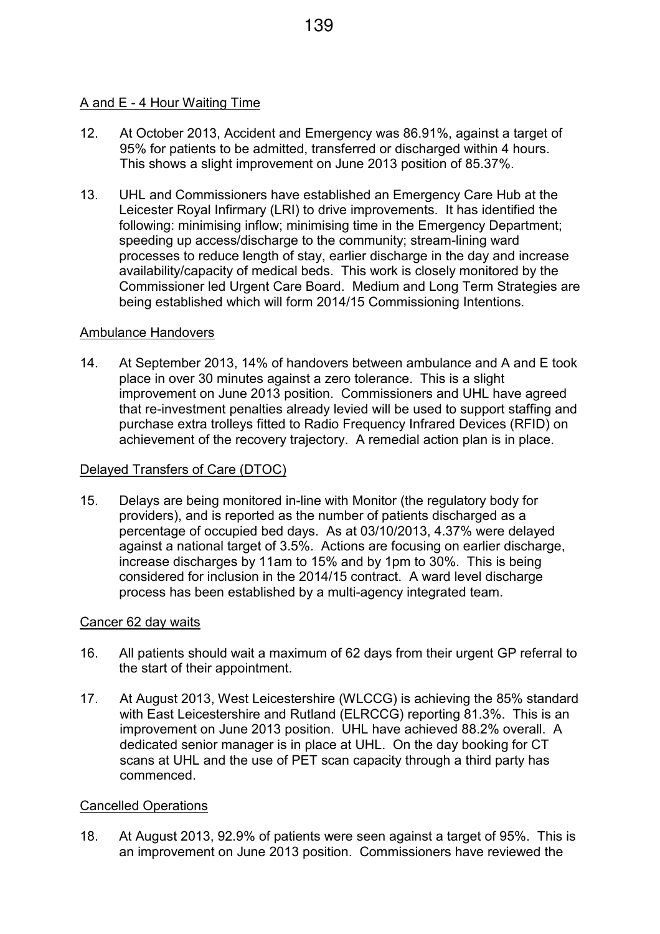#### A and E - 4 Hour Waiting Time

- 12. At October 2013, Accident and Emergency was 86.91%, against a target of 95% for patients to be admitted, transferred or discharged within 4 hours. This shows a slight improvement on June 2013 position of 85.37%.
- 13. UHL and Commissioners have established an Emergency Care Hub at the Leicester Royal Infirmary (LRI) to drive improvements. It has identified the following: minimising inflow; minimising time in the Emergency Department; speeding up access/discharge to the community; stream-lining ward processes to reduce length of stay, earlier discharge in the day and increase availability/capacity of medical beds. This work is closely monitored by the Commissioner led Urgent Care Board. Medium and Long Term Strategies are being established which will form 2014/15 Commissioning Intentions.

#### Ambulance Handovers

14. At September 2013, 14% of handovers between ambulance and A and E took place in over 30 minutes against a zero tolerance. This is a slight improvement on June 2013 position. Commissioners and UHL have agreed that re-investment penalties already levied will be used to support staffing and purchase extra trolleys fitted to Radio Frequency Infrared Devices (RFID) on achievement of the recovery trajectory. A remedial action plan is in place.

#### Delayed Transfers of Care (DTOC)

15. Delays are being monitored in-line with Monitor (the regulatory body for providers), and is reported as the number of patients discharged as a percentage of occupied bed days. As at 03/10/2013, 4.37% were delayed against a national target of 3.5%. Actions are focusing on earlier discharge, increase discharges by 11am to 15% and by 1pm to 30%. This is being considered for inclusion in the 2014/15 contract. A ward level discharge process has been established by a multi-agency integrated team. İ

#### Cancer 62 day waits

- 16. All patients should wait a maximum of 62 days from their urgent GP referral to the start of their appointment.
- 17. At August 2013, West Leicestershire (WLCCG) is achieving the 85% standard with East Leicestershire and Rutland (ELRCCG) reporting 81.3%. This is an improvement on June 2013 position. UHL have achieved 88.2% overall. A dedicated senior manager is in place at UHL. On the day booking for CT scans at UHL and the use of PET scan capacity through a third party has commenced.

#### Cancelled Operations

18. At August 2013, 92.9% of patients were seen against a target of 95%. This is an improvement on June 2013 position. Commissioners have reviewed the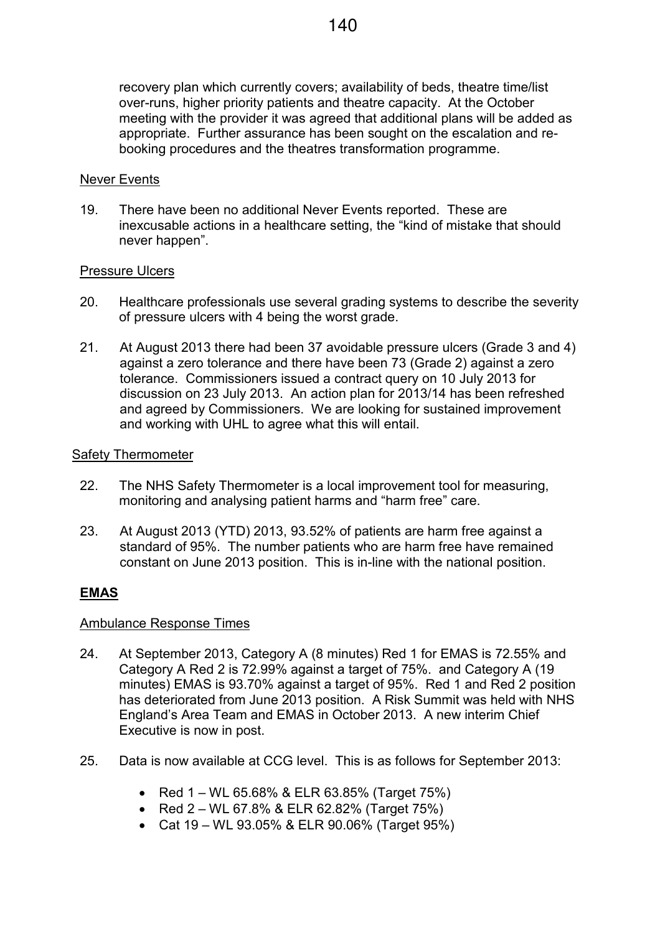recovery plan which currently covers; availability of beds, theatre time/list over-runs, higher priority patients and theatre capacity. At the October meeting with the provider it was agreed that additional plans will be added as appropriate. Further assurance has been sought on the escalation and rebooking procedures and the theatres transformation programme.

### Never Events

19. There have been no additional Never Events reported. These are inexcusable actions in a healthcare setting, the "kind of mistake that should never happen".

### Pressure Ulcers

- 20. Healthcare professionals use several grading systems to describe the severity of pressure ulcers with 4 being the worst grade.
- 21. At August 2013 there had been 37 avoidable pressure ulcers (Grade 3 and 4) against a zero tolerance and there have been 73 (Grade 2) against a zero tolerance. Commissioners issued a contract query on 10 July 2013 for discussion on 23 July 2013. An action plan for 2013/14 has been refreshed and agreed by Commissioners. We are looking for sustained improvement and working with UHL to agree what this will entail.

### Safety Thermometer

- 22. The NHS Safety Thermometer is a local improvement tool for measuring, monitoring and analysing patient harms and "harm free" care.
- 23. At August 2013 (YTD) 2013, 93.52% of patients are harm free against a standard of 95%. The number patients who are harm free have remained constant on June 2013 position. This is in-line with the national position.

## **EMAS**

### Ambulance Response Times

- 24. At September 2013, Category A (8 minutes) Red 1 for EMAS is 72.55% and Category A Red 2 is 72.99% against a target of 75%. and Category A (19 minutes) EMAS is 93.70% against a target of 95%. Red 1 and Red 2 position has deteriorated from June 2013 position. A Risk Summit was held with NHS England's Area Team and EMAS in October 2013. A new interim Chief Executive is now in post.
- 25. Data is now available at CCG level. This is as follows for September 2013:
	- Red  $1 WL$  65.68% & ELR 63.85% (Target 75%)
	- Red  $2 WL$  67.8% & ELR 62.82% (Target 75%)
	- Cat 19 WL 93.05% & ELR 90.06% (Target 95%)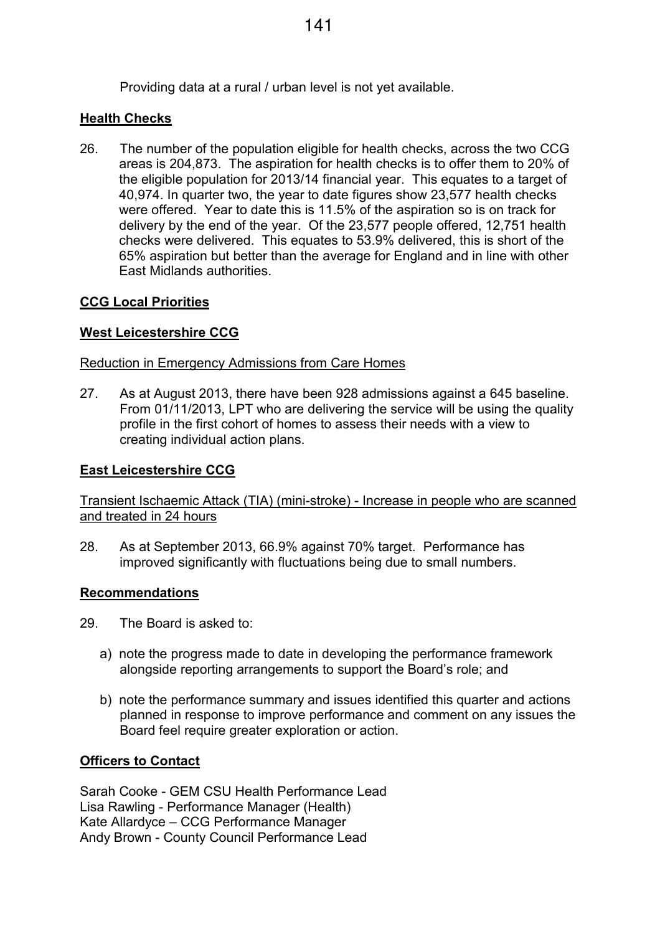### **Health Checks**

26. The number of the population eligible for health checks, across the two CCG areas is 204,873. The aspiration for health checks is to offer them to 20% of the eligible population for 2013/14 financial year. This equates to a target of 40,974. In quarter two, the year to date figures show 23,577 health checks were offered. Year to date this is 11.5% of the aspiration so is on track for delivery by the end of the year. Of the 23,577 people offered, 12,751 health checks were delivered. This equates to 53.9% delivered, this is short of the 65% aspiration but better than the average for England and in line with other East Midlands authorities.

## **CCG Local Priorities**

## **West Leicestershire CCG**

#### Reduction in Emergency Admissions from Care Homes

27. As at August 2013, there have been 928 admissions against a 645 baseline. From 01/11/2013, LPT who are delivering the service will be using the quality profile in the first cohort of homes to assess their needs with a view to creating individual action plans.

### **East Leicestershire CCG**

Transient Ischaemic Attack (TIA) (mini-stroke) - Increase in people who are scanned and treated in 24 hours

28. As at September 2013, 66.9% against 70% target. Performance has improved significantly with fluctuations being due to small numbers.

### **Recommendations**

- 29. The Board is asked to:
	- a) note the progress made to date in developing the performance framework alongside reporting arrangements to support the Board's role; and
	- b) note the performance summary and issues identified this quarter and actions planned in response to improve performance and comment on any issues the Board feel require greater exploration or action.

### **Officers to Contact**

Sarah Cooke - GEM CSU Health Performance Lead Lisa Rawling - Performance Manager (Health) Kate Allardyce – CCG Performance Manager Andy Brown - County Council Performance Lead